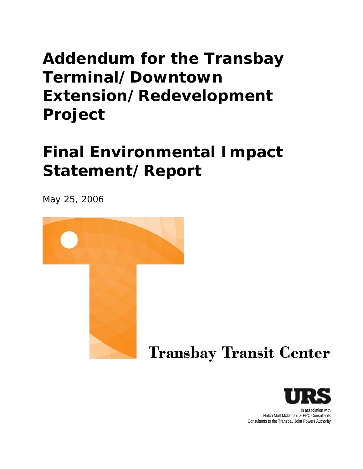# **Addendum for the Transbay Terminal/Downtown Extension/Redevelopment Project**

# **Final Environmental Impact Statement/Report**

May 25, 2006



# **Transbay Transit Center**



In association with Hatch Mott McDonald & EPC Consultants Consultants to the Transbay Joint Powers Authority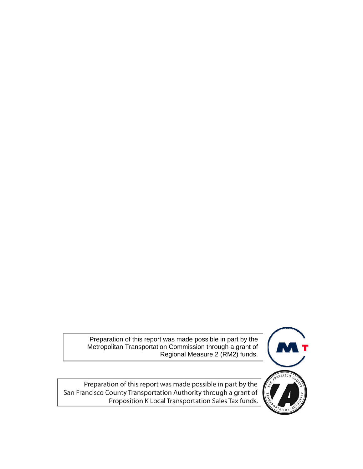Preparation of this report was made possible in part by the Metropolitan Transportation Commission through a grant of Regional Measure 2 (RM2) funds.



Preparation of this report was made possible in part by the San Francisco County Transportation Authority through a grant of Proposition K Local Transportation Sales Tax funds.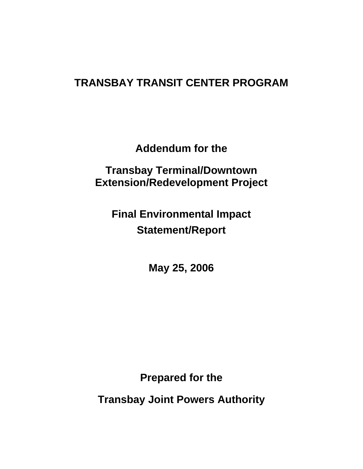## **TRANSBAY TRANSIT CENTER PROGRAM**

**Addendum for the** 

**Transbay Terminal/Downtown Extension/Redevelopment Project** 

**Final Environmental Impact Statement/Report** 

**May 25, 2006** 

**Prepared for the** 

**Transbay Joint Powers Authority**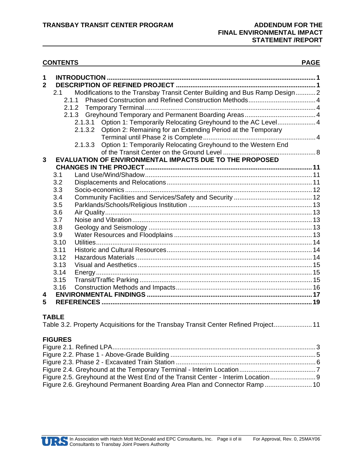#### **CONTENTS PAGE**

| 1<br>$\overline{2}$ | 2.1  | Modifications to the Transbay Transit Center Building and Bus Ramp Design2<br>2.1.1<br>2.1.2<br>Option 1: Temporarily Relocating Greyhound to the AC Level 4<br>2.1.3.1<br>Option 2: Remaining for an Extending Period at the Temporary<br>2.1.3.2<br>Option 1: Temporarily Relocating Greyhound to the Western End<br>2.1.3.3 |  |  |
|---------------------|------|--------------------------------------------------------------------------------------------------------------------------------------------------------------------------------------------------------------------------------------------------------------------------------------------------------------------------------|--|--|
| $\mathbf{3}$        |      | EVALUATION OF ENVIRONMENTAL IMPACTS DUE TO THE PROPOSED                                                                                                                                                                                                                                                                        |  |  |
|                     |      |                                                                                                                                                                                                                                                                                                                                |  |  |
|                     | 3.1  |                                                                                                                                                                                                                                                                                                                                |  |  |
|                     | 3.2  |                                                                                                                                                                                                                                                                                                                                |  |  |
|                     | 3.3  |                                                                                                                                                                                                                                                                                                                                |  |  |
|                     | 3.4  |                                                                                                                                                                                                                                                                                                                                |  |  |
|                     | 3.5  |                                                                                                                                                                                                                                                                                                                                |  |  |
|                     | 3.6  |                                                                                                                                                                                                                                                                                                                                |  |  |
|                     | 3.7  |                                                                                                                                                                                                                                                                                                                                |  |  |
|                     | 3.8  |                                                                                                                                                                                                                                                                                                                                |  |  |
|                     | 3.9  |                                                                                                                                                                                                                                                                                                                                |  |  |
|                     | 3.10 |                                                                                                                                                                                                                                                                                                                                |  |  |
|                     | 3.11 |                                                                                                                                                                                                                                                                                                                                |  |  |
|                     | 3.12 |                                                                                                                                                                                                                                                                                                                                |  |  |
|                     | 3.13 |                                                                                                                                                                                                                                                                                                                                |  |  |
|                     | 3.14 |                                                                                                                                                                                                                                                                                                                                |  |  |
|                     | 3.15 |                                                                                                                                                                                                                                                                                                                                |  |  |
|                     | 3.16 |                                                                                                                                                                                                                                                                                                                                |  |  |
| 4                   |      |                                                                                                                                                                                                                                                                                                                                |  |  |
| 5                   |      |                                                                                                                                                                                                                                                                                                                                |  |  |

### **TABLE**

Table 3.2. Property Acquisitions for the Transbay Transit Center Refined Project.....................11

#### **FIGURES**

| Figure 2.5. Greyhound at the West End of the Transit Center - Interim Location |  |
|--------------------------------------------------------------------------------|--|
| Figure 2.6. Greyhound Permanent Boarding Area Plan and Connector Ramp 10       |  |

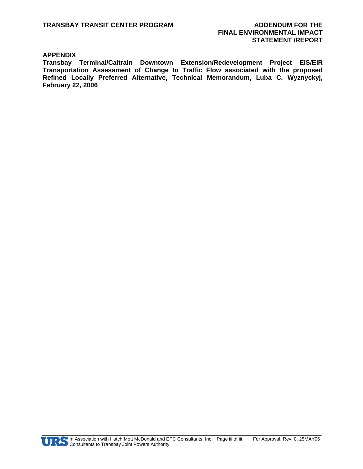#### **APPENDIX**

**Transbay Terminal/Caltrain Downtown Extension/Redevelopment Project EIS/EIR Transportation Assessment of Change to Traffic Flow associated with the proposed Refined Locally Preferred Alternative, Technical Memorandum, Luba C. Wyznyckyj, February 22, 2006**

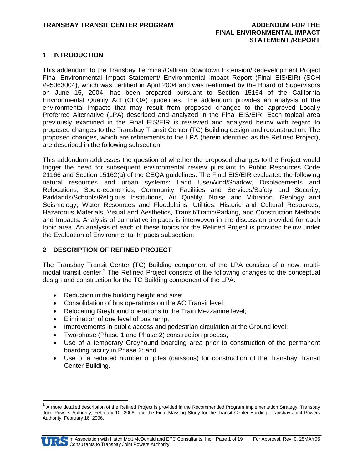#### **1 INTRODUCTION**

This addendum to the Transbay Terminal/Caltrain Downtown Extension/Redevelopment Project Final Environmental Impact Statement/ Environmental Impact Report (Final EIS/EIR) (SCH #95063004), which was certified in April 2004 and was reaffirmed by the Board of Supervisors on June 15, 2004, has been prepared pursuant to Section 15164 of the California Environmental Quality Act (CEQA) guidelines. The addendum provides an analysis of the environmental impacts that may result from proposed changes to the approved Locally Preferred Alternative (LPA) described and analyzed in the Final EIS/EIR. Each topical area previously examined in the Final EIS/EIR is reviewed and analyzed below with regard to proposed changes to the Transbay Transit Center (TC) Building design and reconstruction. The proposed changes, which are refinements to the LPA (herein identified as the Refined Project), are described in the following subsection.

This addendum addresses the question of whether the proposed changes to the Project would trigger the need for subsequent environmental review pursuant to Public Resources Code 21166 and Section 15162(a) of the CEQA guidelines. The Final EIS/EIR evaluated the following natural resources and urban systems: Land Use/Wind/Shadow, Displacements and Relocations, Socio-economics, Community Facilities and Services/Safety and Security, Parklands/Schools/Religious Institutions, Air Quality, Noise and Vibration, Geology and Seismology, Water Resources and Floodplains, Utilities, Historic and Cultural Resources, Hazardous Materials, Visual and Aesthetics, Transit/Traffic/Parking, and Construction Methods and Impacts. Analysis of cumulative impacts is interwoven in the discussion provided for each topic area. An analysis of each of these topics for the Refined Project is provided below under the Evaluation of Environmental Impacts subsection.

#### **2 DESCRIPTION OF REFINED PROJECT**

The Transbay Transit Center (TC) Building component of the LPA consists of a new, multimodal transit center.<sup>1</sup> The Refined Project consists of the following changes to the conceptual design and construction for the TC Building component of the LPA:

- Reduction in the building height and size;
- Consolidation of bus operations on the AC Transit level;
- Relocating Greyhound operations to the Train Mezzanine level;
- Elimination of one level of bus ramp;
- Improvements in public access and pedestrian circulation at the Ground level;
- Two-phase (Phase 1 and Phase 2) construction process;
- Use of a temporary Greyhound boarding area prior to construction of the permanent boarding facility in Phase 2; and
- Use of a reduced number of piles (caissons) for construction of the Transbay Transit Center Building.

<sup>&</sup>lt;sup>1</sup> A more detailed description of the Refined Project is provided in the Recommended Program Implementation Strategy, Transbay Joint Powers Authority, February 10, 2006, and the Final Massing Study for the Transit Center Building, Transbay Joint Powers Authority, February 16, 2006.



-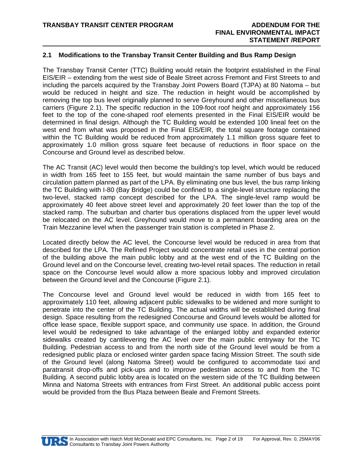#### **2.1 Modifications to the Transbay Transit Center Building and Bus Ramp Design**

The Transbay Transit Center (TTC) Building would retain the footprint established in the Final EIS/EIR – extending from the west side of Beale Street across Fremont and First Streets to and including the parcels acquired by the Transbay Joint Powers Board (TJPA) at 80 Natoma – but would be reduced in height and size. The reduction in height would be accomplished by removing the top bus level originally planned to serve Greyhound and other miscellaneous bus carriers (Figure 2.1). The specific reduction in the 109-foot roof height and approximately 156 feet to the top of the cone-shaped roof elements presented in the Final EIS/EIR would be determined in final design. Although the TC Building would be extended 100 lineal feet on the west end from what was proposed in the Final EIS/EIR, the total square footage contained within the TC Building would be reduced from approximately 1.1 million gross square feet to approximately 1.0 million gross square feet because of reductions in floor space on the Concourse and Ground level as described below.

The AC Transit (AC) level would then become the building's top level, which would be reduced in width from 165 feet to 155 feet, but would maintain the same number of bus bays and circulation pattern planned as part of the LPA. By eliminating one bus level, the bus ramp linking the TC Building with I-80 (Bay Bridge) could be confined to a single-level structure replacing the two-level, stacked ramp concept described for the LPA. The single-level ramp would be approximately 40 feet above street level and approximately 20 feet lower than the top of the stacked ramp. The suburban and charter bus operations displaced from the upper level would be relocated on the AC level. Greyhound would move to a permanent boarding area on the Train Mezzanine level when the passenger train station is completed in Phase 2.

Located directly below the AC level, the Concourse level would be reduced in area from that described for the LPA. The Refined Project would concentrate retail uses in the central portion of the building above the main public lobby and at the west end of the TC Building on the Ground level and on the Concourse level, creating two-level retail spaces. The reduction in retail space on the Concourse level would allow a more spacious lobby and improved circulation between the Ground level and the Concourse (Figure 2.1).

The Concourse level and Ground level would be reduced in width from 165 feet to approximately 110 feet, allowing adjacent public sidewalks to be widened and more sunlight to penetrate into the center of the TC Building. The actual widths will be established during final design. Space resulting from the redesigned Concourse and Ground levels would be allotted for office lease space, flexible support space, and community use space. In addition, the Ground level would be redesigned to take advantage of the enlarged lobby and expanded exterior sidewalks created by cantilevering the AC level over the main public entryway for the TC Building. Pedestrian access to and from the north side of the Ground level would be from a redesigned public plaza or enclosed winter garden space facing Mission Street. The south side of the Ground level (along Natoma Street) would be configured to accommodate taxi and paratransit drop-offs and pick-ups and to improve pedestrian access to and from the TC Building. A second public lobby area is located on the western side of the TC Building between Minna and Natoma Streets with entrances from First Street. An additional public access point would be provided from the Bus Plaza between Beale and Fremont Streets.

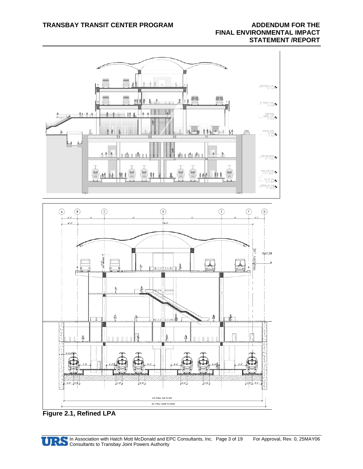

**Figure 2.1, Refined LPA** 

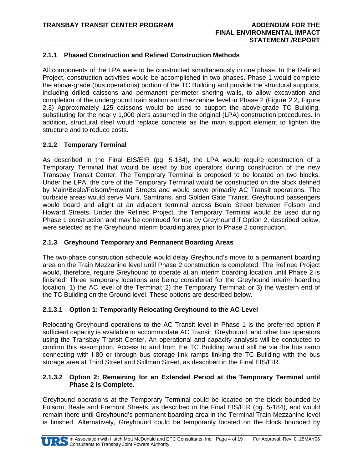#### **2.1.1 Phased Construction and Refined Construction Methods**

All components of the LPA were to be constructed simultaneously in one phase. In the Refined Project, construction activities would be accomplished in two phases. Phase 1 would complete the above-grade (bus operations) portion of the TC Building and provide the structural supports, including drilled caissons and permanent perimeter shoring walls, to allow excavation and completion of the underground train station and mezzanine level in Phase 2 (Figure 2.2, Figure 2.3) Approximately 125 caissons would be used to support the above-grade TC Building, substituting for the nearly 1,000 piers assumed in the original (LPA) construction procedures. In addition, structural steel would replace concrete as the main support element to lighten the structure and to reduce costs.

#### **2.1.2 Temporary Terminal**

As described in the Final EIS/EIR (pg. 5-184), the LPA would require construction of a Temporary Terminal that would be used by bus operators during construction of the new Transbay Transit Center. The Temporary Terminal is proposed to be located on two blocks. Under the LPA, the core of the Temporary Terminal would be constructed on the block defined by Main/Beale/Folsom/Howard Streets and would serve primarily AC Transit operations. The curbside areas would serve Muni, Samtrans, and Golden Gate Transit. Greyhound passengers would board and alight at an adjacent terminal across Beale Street between Folsom and Howard Streets. Under the Refined Project, the Temporary Terminal would be used during Phase 1 construction and may be continued for use by Greyhound if Option 2, described below, were selected as the Greyhound interim boarding area prior to Phase 2 construction.

#### **2.1.3 Greyhound Temporary and Permanent Boarding Areas**

The two-phase construction schedule would delay Greyhound's move to a permanent boarding area on the Train Mezzanine level until Phase 2 construction is completed. The Refined Project would, therefore, require Greyhound to operate at an interim boarding location until Phase 2 is finished. Three temporary locations are being considered for the Greyhound interim boarding location: 1) the AC level of the Terminal; 2) the Temporary Terminal; or 3) the western end of the TC Building on the Ground level. These options are described below.

#### **2.1.3.1 Option 1: Temporarily Relocating Greyhound to the AC Level**

Relocating Greyhound operations to the AC Transit level in Phase 1 is the preferred option if sufficient capacity is available to accommodate AC Transit, Greyhound, and other bus operators using the Transbay Transit Center. An operational and capacity analysis will be conducted to confirm this assumption. Access to and from the TC Building would still be via the bus ramp connecting with I-80 or through bus storage link ramps linking the TC Building with the bus storage area at Third Street and Stillman Street, as described in the Final EIS/EIR.

#### **2.1.3.2 Option 2: Remaining for an Extended Period at the Temporary Terminal until Phase 2 is Complete.**

Greyhound operations at the Temporary Terminal could be located on the block bounded by Folsom, Beale and Fremont Streets, as described in the Final EIS/EIR (pg. 5-184), and would remain there until Greyhound's permanent boarding area in the Terminal Train Mezzanine level is finished. Alternatively, Greyhound could be temporarily located on the block bounded by

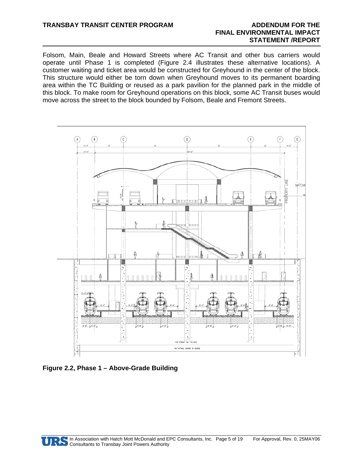Folsom, Main, Beale and Howard Streets where AC Transit and other bus carriers would operate until Phase 1 is completed (Figure 2.4 illustrates these alternative locations). A customer waiting and ticket area would be constructed for Greyhound in the center of the block. This structure would either be torn down when Greyhound moves to its permanent boarding area within the TC Building or reused as a park pavilion for the planned park in the middle of this block. To make room for Greyhound operations on this block, some AC Transit buses would move across the street to the block bounded by Folsom, Beale and Fremont Streets.



**Figure 2.2, Phase 1 – Above-Grade Building** 

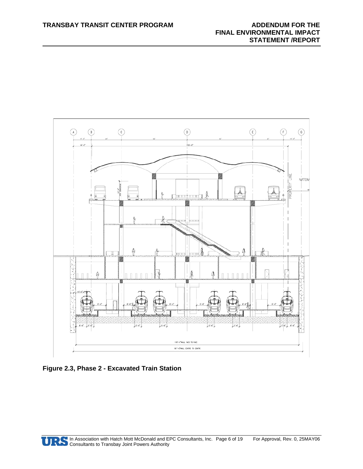

**Figure 2.3, Phase 2 - Excavated Train Station** 

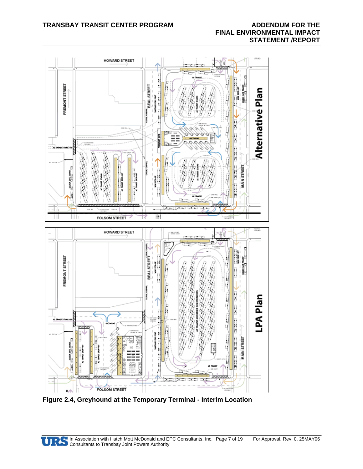

**Figure 2.4, Greyhound at the Temporary Terminal - Interim Location** 

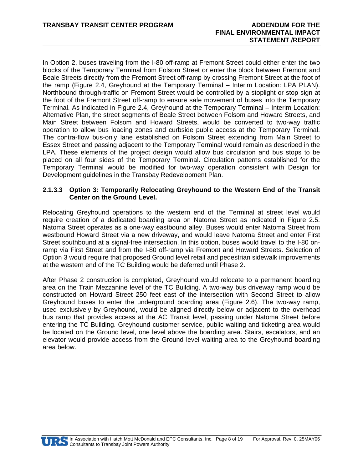In Option 2, buses traveling from the I-80 off-ramp at Fremont Street could either enter the two blocks of the Temporary Terminal from Folsom Street or enter the block between Fremont and Beale Streets directly from the Fremont Street off-ramp by crossing Fremont Street at the foot of the ramp (Figure 2.4, Greyhound at the Temporary Terminal – Interim Location: LPA PLAN). Northbound through-traffic on Fremont Street would be controlled by a stoplight or stop sign at the foot of the Fremont Street off-ramp to ensure safe movement of buses into the Temporary Terminal. As indicated in Figure 2.4, Greyhound at the Temporary Terminal – Interim Location: Alternative Plan, the street segments of Beale Street between Folsom and Howard Streets, and Main Street between Folsom and Howard Streets, would be converted to two-way traffic operation to allow bus loading zones and curbside public access at the Temporary Terminal. The contra-flow bus-only lane established on Folsom Street extending from Main Street to Essex Street and passing adjacent to the Temporary Terminal would remain as described in the LPA. These elements of the project design would allow bus circulation and bus stops to be placed on all four sides of the Temporary Terminal. Circulation patterns established for the Temporary Terminal would be modified for two-way operation consistent with Design for Development guidelines in the Transbay Redevelopment Plan.

#### **2.1.3.3 Option 3: Temporarily Relocating Greyhound to the Western End of the Transit Center on the Ground Level.**

Relocating Greyhound operations to the western end of the Terminal at street level would require creation of a dedicated boarding area on Natoma Street as indicated in Figure 2.5. Natoma Street operates as a one-way eastbound alley. Buses would enter Natoma Street from westbound Howard Street via a new driveway, and would leave Natoma Street and enter First Street southbound at a signal-free intersection. In this option, buses would travel to the I-80 onramp via First Street and from the I-80 off-ramp via Fremont and Howard Streets. Selection of Option 3 would require that proposed Ground level retail and pedestrian sidewalk improvements at the western end of the TC Building would be deferred until Phase 2.

After Phase 2 construction is completed, Greyhound would relocate to a permanent boarding area on the Train Mezzanine level of the TC Building. A two-way bus driveway ramp would be constructed on Howard Street 250 feet east of the intersection with Second Street to allow Greyhound buses to enter the underground boarding area (Figure 2.6). The two-way ramp, used exclusively by Greyhound, would be aligned directly below or adjacent to the overhead bus ramp that provides access at the AC Transit level, passing under Natoma Street before entering the TC Building. Greyhound customer service, public waiting and ticketing area would be located on the Ground level, one level above the boarding area. Stairs, escalators, and an elevator would provide access from the Ground level waiting area to the Greyhound boarding area below.

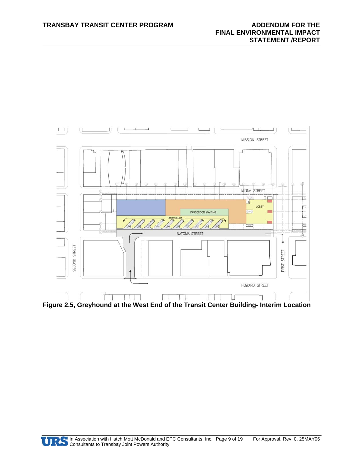

**Figure 2.5, Greyhound at the West End of the Transit Center Building- Interim Location** 

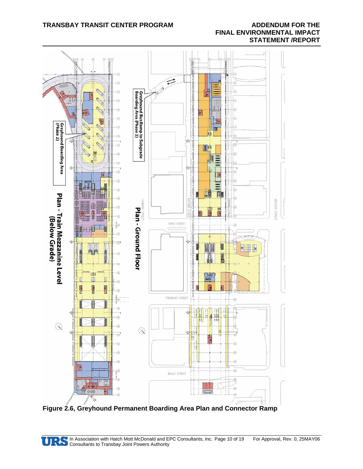#### **TRANSBAY TRANSIT CENTER PROGRAM ADDENDUM FOR THE**

## **FINAL ENVIRONMENTAL IMPACT STATEMENT /REPORT**



**Figure 2.6, Greyhound Permanent Boarding Area Plan and Connector Ramp** 

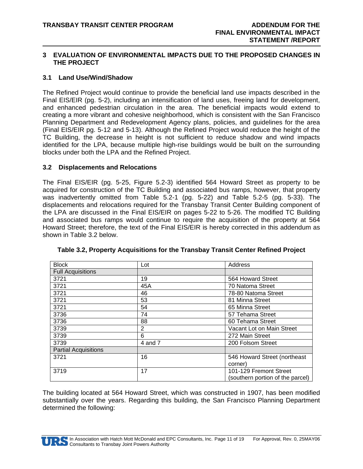#### **3 EVALUATION OF ENVIRONMENTAL IMPACTS DUE TO THE PROPOSED CHANGES IN THE PROJECT**

#### **3.1 Land Use/Wind/Shadow**

The Refined Project would continue to provide the beneficial land use impacts described in the Final EIS/EIR (pg. 5-2), including an intensification of land uses, freeing land for development, and enhanced pedestrian circulation in the area. The beneficial impacts would extend to creating a more vibrant and cohesive neighborhood, which is consistent with the San Francisco Planning Department and Redevelopment Agency plans, policies, and guidelines for the area (Final EIS/EIR pg. 5-12 and 5-13). Although the Refined Project would reduce the height of the TC Building, the decrease in height is not sufficient to reduce shadow and wind impacts identified for the LPA, because multiple high-rise buildings would be built on the surrounding blocks under both the LPA and the Refined Project.

#### **3.2 Displacements and Relocations**

The Final EIS/EIR (pg. 5-25, Figure 5.2-3) identified 564 Howard Street as property to be acquired for construction of the TC Building and associated bus ramps, however, that property was inadvertently omitted from Table 5.2-1 (pg. 5-22) and Table 5.2-5 (pg. 5-33). The displacements and relocations required for the Transbay Transit Center Building component of the LPA are discussed in the Final EIS/EIR on pages 5-22 to 5-26. The modified TC Building and associated bus ramps would continue to require the acquisition of the property at 564 Howard Street; therefore, the text of the Final EIS/EIR is hereby corrected in this addendum as shown in Table 3.2 below.

| <b>Block</b>                | Lot     | Address                          |
|-----------------------------|---------|----------------------------------|
| <b>Full Acquisitions</b>    |         |                                  |
| 3721                        | 19      | 564 Howard Street                |
| 3721                        | 45A     | 70 Natoma Street                 |
| 3721                        | 46      | 78-80 Natoma Street              |
| 3721                        | 53      | 81 Minna Street                  |
| 3721                        | 54      | 65 Minna Street                  |
| 3736                        | 74      | 57 Tehama Street                 |
| 3736                        | 88      | 60 Tehama Street                 |
| 3739                        | 2       | Vacant Lot on Main Street        |
| 3739                        | 6       | 272 Main Street                  |
| 3739                        | 4 and 7 | 200 Folsom Street                |
| <b>Partial Acquisitions</b> |         |                                  |
| 3721                        | 16      | 546 Howard Street (northeast     |
|                             |         | corner)                          |
| 3719                        | 17      | 101-129 Fremont Street           |
|                             |         | (southern portion of the parcel) |

**Table 3.2, Property Acquisitions for the Transbay Transit Center Refined Project** 

The building located at 564 Howard Street, which was constructed in 1907, has been modified substantially over the years. Regarding this building, the San Francisco Planning Department determined the following:

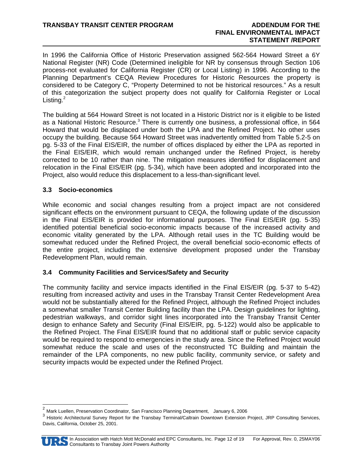In 1996 the California Office of Historic Preservation assigned 562-564 Howard Street a 6Y National Register (NR) Code (Determined ineligible for NR by consensus through Section 106 process-not evaluated for California Register (CR) or Local Listing) in 1996. According to the Planning Department's CEQA Review Procedures for Historic Resources the property is considered to be Category C, "Property Determined to not be historical resources." As a result of this categorization the subject property does not qualify for California Register or Local Listing. $^2$ 

The building at 564 Howard Street is not located in a Historic District nor is it eligible to be listed as a National Historic Resource.<sup>3</sup> There is currently one business, a professional office, in 564 Howard that would be displaced under both the LPA and the Refined Project. No other uses occupy the building. Because 564 Howard Street was inadvertently omitted from Table 5.2-5 on pg. 5-33 of the Final EIS/EIR, the number of offices displaced by either the LPA as reported in the Final EIS/EIR, which would remain unchanged under the Refined Project, is hereby corrected to be 10 rather than nine. The mitigation measures identified for displacement and relocation in the Final EIS/EIR (pg. 5-34), which have been adopted and incorporated into the Project, also would reduce this displacement to a less-than-significant level.

#### **3.3 Socio-economics**

While economic and social changes resulting from a project impact are not considered significant effects on the environment pursuant to CEQA, the following update of the discussion in the Final EIS/EIR is provided for informational purposes. The Final EIS/EIR (pg. 5-35) identified potential beneficial socio-economic impacts because of the increased activity and economic vitality generated by the LPA. Although retail uses in the TC Building would be somewhat reduced under the Refined Project, the overall beneficial socio-economic effects of the entire project, including the extensive development proposed under the Transbay Redevelopment Plan, would remain.

#### **3.4 Community Facilities and Services/Safety and Security**

The community facility and service impacts identified in the Final EIS/EIR (pg. 5-37 to 5-42) resulting from increased activity and uses in the Transbay Transit Center Redevelopment Area would not be substantially altered for the Refined Project, although the Refined Project includes a somewhat smaller Transit Center Building facility than the LPA. Design guidelines for lighting, pedestrian walkways, and corridor sight lines incorporated into the Transbay Transit Center design to enhance Safety and Security (Final EIS/EIR, pg. 5-122) would also be applicable to the Refined Project. The Final EIS/EIR found that no additional staff or public service capacity would be required to respond to emergencies in the study area. Since the Refined Project would somewhat reduce the scale and uses of the reconstructed TC Building and maintain the remainder of the LPA components, no new public facility, community service, or safety and security impacts would be expected under the Refined Project.

<sup>&</sup>lt;sup>3</sup> Historic Architectural Survey Report for the Transbay Terminal/Caltrain Downtown Extension Project, JRP Consulting Services, Davis, California, October 25, 2001.



 $\overline{a}$ 

<sup>&</sup>lt;sup>2</sup> Mark Luellen, Preservation Coordinator, San Francisco Planning Department, January 6, 2006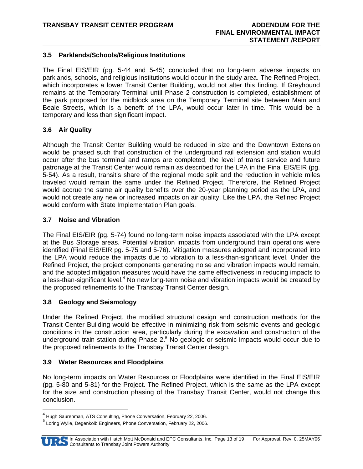#### **3.5 Parklands/Schools/Religious Institutions**

The Final EIS/EIR (pg. 5-44 and 5-45) concluded that no long-term adverse impacts on parklands, schools, and religious institutions would occur in the study area. The Refined Project, which incorporates a lower Transit Center Building, would not alter this finding. If Greyhound remains at the Temporary Terminal until Phase 2 construction is completed, establishment of the park proposed for the midblock area on the Temporary Terminal site between Main and Beale Streets, which is a benefit of the LPA, would occur later in time. This would be a temporary and less than significant impact.

#### **3.6 Air Quality**

Although the Transit Center Building would be reduced in size and the Downtown Extension would be phased such that construction of the underground rail extension and station would occur after the bus terminal and ramps are completed, the level of transit service and future patronage at the Transit Center would remain as described for the LPA in the Final EIS/EIR (pg. 5-54). As a result, transit's share of the regional mode split and the reduction in vehicle miles traveled would remain the same under the Refined Project. Therefore, the Refined Project would accrue the same air quality benefits over the 20-year planning period as the LPA, and would not create any new or increased impacts on air quality. Like the LPA, the Refined Project would conform with State Implementation Plan goals.

#### **3.7 Noise and Vibration**

The Final EIS/EIR (pg. 5-74) found no long-term noise impacts associated with the LPA except at the Bus Storage areas. Potential vibration impacts from underground train operations were identified (Final EIS/EIR pg. 5-75 and 5-76). Mitigation measures adopted and incorporated into the LPA would reduce the impacts due to vibration to a less-than-significant level. Under the Refined Project, the project components generating noise and vibration impacts would remain, and the adopted mitigation measures would have the same effectiveness in reducing impacts to a less-than-significant level.<sup>4</sup> No new long-term noise and vibration impacts would be created by the proposed refinements to the Transbay Transit Center design.

#### **3.8 Geology and Seismology**

Under the Refined Project, the modified structural design and construction methods for the Transit Center Building would be effective in minimizing risk from seismic events and geologic conditions in the construction area, particularly during the excavation and construction of the underground train station during Phase 2.<sup>5</sup> No geologic or seismic impacts would occur due to the proposed refinements to the Transbay Transit Center design.

#### **3.9 Water Resources and Floodplains**

No long-term impacts on Water Resources or Floodplains were identified in the Final EIS/EIR (pg. 5-80 and 5-81) for the Project. The Refined Project, which is the same as the LPA except for the size and construction phasing of the Transbay Transit Center, would not change this conclusion.

<sup>&</sup>lt;sup>5</sup> Loring Wylie, Degenkolb Engineers, Phone Conversation, February 22, 2006.



<sup>&</sup>lt;sup>4</sup> Hugh Saurenman, ATS Consulting, Phone Conversation, February 22, 2006.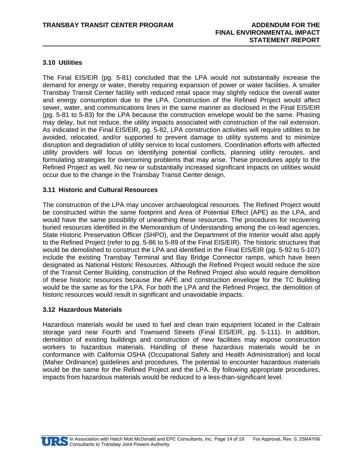#### **3.10 Utilities**

The Final EIS/EIR (pg. 5-81) concluded that the LPA would not substantially increase the demand for energy or water, thereby requiring expansion of power or water facilities. A smaller Transbay Transit Center facility with reduced retail space may slightly reduce the overall water and energy consumption due to the LPA. Construction of the Refined Project would affect sewer, water, and communications lines in the same manner as disclosed in the Final EIS/EIR (pg. 5-81 to 5-83) for the LPA because the construction envelope would be the same. Phasing may delay, but not reduce, the utility impacts associated with construction of the rail extension. As indicated in the Final EIS/EIR, pg. 5-82, LPA construction activities will require utilities to be avoided, relocated, and/or supported to prevent damage to utility systems and to minimize disruption and degradation of utility service to local customers. Coordination efforts with affected utility providers will focus on identifying potential conflicts, planning utility reroutes, and formulating strategies for overcoming problems that may arise. These procedures apply to the Refined Project as well. No new or substantially increased significant impacts on utilities would occur due to the change in the Transbay Transit Center design.

#### **3.11 Historic and Cultural Resources**

The construction of the LPA may uncover archaeological resources. The Refined Project would be constructed within the same footprint and Area of Potential Effect (APE) as the LPA, and would have the same possibility of unearthing these resources. The procedures for recovering buried resources identified in the Memorandum of Understanding among the co-lead agencies, State Historic Preservation Officer (SHPO), and the Department of the Interior would also apply to the Refined Project (refer to pg. 5-86 to 5-89 of the Final EIS/EIR). The historic structures that would be demolished to construct the LPA and identified in the Final EIS/EIR (pg. 5-92 to 5-107) include the existing Transbay Terminal and Bay Bridge Connector ramps, which have been designated as National Historic Resources. Although the Refined Project would reduce the size of the Transit Center Building, construction of the Refined Project also would require demolition of these historic resources because the APE and construction envelope for the TC Building would be the same as for the LPA. For both the LPA and the Refined Project, the demolition of historic resources would result in significant and unavoidable impacts.

#### **3.12 Hazardous Materials**

Hazardous materials would be used to fuel and clean train equipment located in the Caltrain storage yard near Fourth and Townsend Streets (Final EIS/EIR, pg. 5-111). In addition, demolition of existing buildings and construction of new facilities may expose construction workers to hazardous materials. Handling of these hazardous materials would be in conformance with California OSHA (Occupational Safety and Health Administration) and local (Maher Ordinance) guidelines and procedures. The potential to encounter hazardous materials would be the same for the Refined Project and the LPA. By following appropriate procedures, impacts from hazardous materials would be reduced to a less-than-significant level.

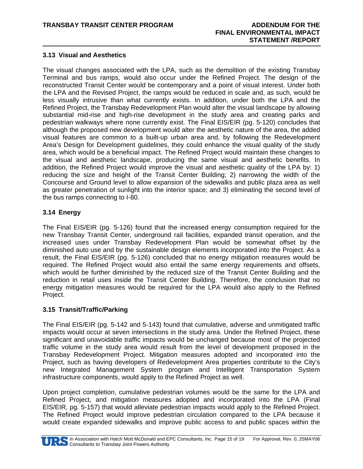#### **3.13 Visual and Aesthetics**

The visual changes associated with the LPA, such as the demolition of the existing Transbay Terminal and bus ramps, would also occur under the Refined Project. The design of the reconstructed Transit Center would be contemporary and a point of visual interest. Under both the LPA and the Revised Project, the ramps would be reduced in scale and, as such, would be less visually intrusive than what currently exists. In addition, under both the LPA and the Refined Project, the Transbay Redevelopment Plan would alter the visual landscape by allowing substantial mid-rise and high-rise development in the study area and creating parks and pedestrian walkways where none currently exist. The Final EIS/EIR (pg. 5-120) concludes that although the proposed new development would alter the aesthetic nature of the area, the added visual features are common to a built-up urban area and, by following the Redevelopment Area's Design for Development guidelines, they could enhance the visual quality of the study area, which would be a beneficial impact. The Refined Project would maintain these changes to the visual and aesthetic landscape, producing the same visual and aesthetic benefits. In addition, the Refined Project would improve the visual and aesthetic quality of the LPA by: 1) reducing the size and height of the Transit Center Building; 2) narrowing the width of the Concourse and Ground level to allow expansion of the sidewalks and public plaza area as well as greater penetration of sunlight into the interior space; and 3) eliminating the second level of the bus ramps connecting to I-80.

#### **3.14 Energy**

The Final EIS/EIR (pg. 5-126) found that the increased energy consumption required for the new Transbay Transit Center, underground rail facilities, expanded transit operation, and the increased uses under Transbay Redevelopment Plan would be somewhat offset by the diminished auto use and by the sustainable design elements incorporated into the Project. As a result, the Final EIS/EIR (pg. 5-126) concluded that no energy mitigation measures would be required. The Refined Project would also entail the same energy requirements and offsets, which would be further diminished by the reduced size of the Transit Center Building and the reduction in retail uses inside the Transit Center Building. Therefore, the conclusion that no energy mitigation measures would be required for the LPA would also apply to the Refined Project.

#### **3.15 Transit/Traffic/Parking**

The Final EIS/EIR (pg. 5-142 and 5-143) found that cumulative, adverse and unmitigated traffic impacts would occur at seven intersections in the study area. Under the Refined Project, these significant and unavoidable traffic impacts would be unchanged because most of the projected traffic volume in the study area would result from the level of development proposed in the Transbay Redevelopment Project. Mitigation measures adopted and incorporated into the Project, such as having developers of Redevelopment Area properties contribute to the City's new Integrated Management System program and Intelligent Transportation System infrastructure components, would apply to the Refined Project as well.

Upon project completion, cumulative pedestrian volumes would be the same for the LPA and Refined Project, and mitigation measures adopted and incorporated into the LPA (Final EIS/EIR, pg. 5-157) that would alleviate pedestrian impacts would apply to the Refined Project. The Refined Project would improve pedestrian circulation compared to the LPA because it would create expanded sidewalks and improve public access to and public spaces within the

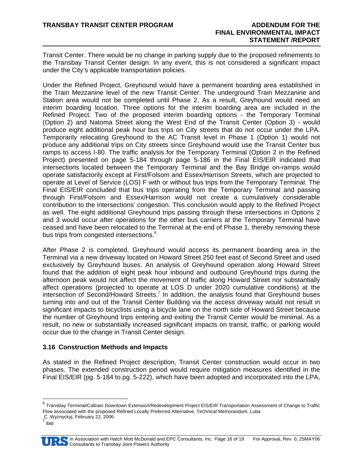Transit Center. There would be no change in parking supply due to the proposed refinements to the Transbay Transit Center design. In any event, this is not considered a significant impact under the City's applicable transportation policies.

Under the Refined Project, Greyhound would have a permanent boarding area established in the Train Mezzanine level of the new Transit Center. The underground Train Mezzanine and Station area would not be completed until Phase 2. As a result, Greyhound would need an interim boarding location. Three options for the interim boarding area are included in the Refined Project. Two of the proposed interim boarding options - the Temporary Terminal (Option 2) and Natoma Street along the West End of the Transit Center (Option 3) - would produce eight additional peak hour bus trips on City streets that do not occur under the LPA. Temporarily relocating Greyhound to the AC Transit level in Phase 1 (Option 1) would not produce any additional trips on City streets since Greyhound would use the Transit Center bus ramps to access I-80. The traffic analysis for the Temporary Terminal (Option 2 in the Refined Project) presented on page 5-184 through page 5-186 in the Final EIS/EIR indicated that intersections located between the Temporary Terminal and the Bay Bridge on-ramps would operate satisfactorily except at First/Folsom and Essex/Harrison Streets, which are projected to operate at Level of Service (LOS) F with or without bus trips from the Temporary Terminal. The Final EIS/EIR concluded that bus trips operating from the Temporary Terminal and passing through First/Folsom and Essex/Harrison would not create a cumulatively considerable contribution to the intersections' congestion. This conclusion would apply to the Refined Project as well. The eight additional Greyhound trips passing through these intersections in Options 2 and 3 would occur after operations for the other bus carriers at the Temporary Terminal have ceased and have been relocated to the Terminal at the end of Phase 1, thereby removing these bus trips from congested intersections.<sup>6</sup>

After Phase 2 is completed, Greyhound would access its permanent boarding area in the Terminal via a new driveway located on Howard Street 250 feet east of Second Street and used exclusively by Greyhound buses. An analysis of Greyhound operation along Howard Street found that the addition of eight peak hour inbound and outbound Greyhound trips during the afternoon peak would not affect the movement of traffic along Howard Street nor substantially affect operations (projected to operate at LOS D under 2020 cumulative conditions) at the intersection of Second/Howard Streets.<sup>7</sup> In addition, the analysis found that Greyhound buses turning into and out of the Transit Center Building via the access driveway would not result in significant impacts to bicyclists using a bicycle lane on the north side of Howard Street because the number of Greyhound trips entering and exiting the Transit Center would be minimal. As a result, no new or substantially increased significant impacts on transit, traffic, or parking would occur due to the change in Transit Center design.

#### **3.16 Construction Methods and Impacts**

As stated in the Refined Project description, Transit Center construction would occur in two phases. The extended construction period would require mitigation measures identified in the Final EIS/EIR (pg. 5-184 to pg. 5-222), which have been adopted and incorporated into the LPA,



 $^6$  Transbay Terminal/Caltrain Downtown Extension/Redevelopment Project EIS/EIR Transportation Assessment of Change to Traffic Flow associated with the proposed Refined Locally Preferred Alternative, Technical Memorandum, Luba

C. Wyznyckyj, February 22, 2006.<br>7

ibid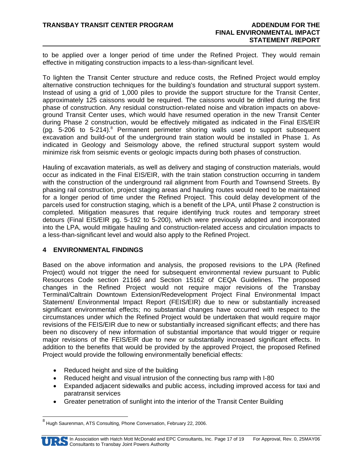to be applied over a longer period of time under the Refined Project. They would remain effective in mitigating construction impacts to a less-than-significant level.

To lighten the Transit Center structure and reduce costs, the Refined Project would employ alternative construction techniques for the building's foundation and structural support system. Instead of using a grid of 1,000 piles to provide the support structure for the Transit Center, approximately 125 caissons would be required. The caissons would be drilled during the first phase of construction. Any residual construction-related noise and vibration impacts on aboveground Transit Center uses, which would have resumed operation in the new Transit Center during Phase 2 construction, would be effectively mitigated as indicated in the Final EIS/EIR (pg. 5-206 to 5-214).<sup>8</sup> Permanent perimeter shoring walls used to support subsequent excavation and build-out of the underground train station would be installed in Phase 1. As indicated in Geology and Seismology above, the refined structural support system would minimize risk from seismic events or geologic impacts during both phases of construction.

Hauling of excavation materials, as well as delivery and staging of construction materials, would occur as indicated in the Final EIS/EIR, with the train station construction occurring in tandem with the construction of the underground rail alignment from Fourth and Townsend Streets. By phasing rail construction, project staging areas and hauling routes would need to be maintained for a longer period of time under the Refined Project. This could delay development of the parcels used for construction staging, which is a benefit of the LPA, until Phase 2 construction is completed. Mitigation measures that require identifying truck routes and temporary street detours (Final EIS/EIR pg. 5-192 to 5-200), which were previously adopted and incorporated into the LPA, would mitigate hauling and construction-related access and circulation impacts to a less-than-significant level and would also apply to the Refined Project.

#### **4 ENVIRONMENTAL FINDINGS**

Based on the above information and analysis, the proposed revisions to the LPA (Refined Project) would not trigger the need for subsequent environmental review pursuant to Public Resources Code section 21166 and Section 15162 of CEQA Guidelines. The proposed changes in the Refined Project would not require major revisions of the Transbay Terminal/Caltrain Downtown Extension/Redevelopment Project Final Environmental Impact Statement/ Environmental Impact Report (FEIS/EIR) due to new or substantially increased significant environmental effects; no substantial changes have occurred with respect to the circumstances under which the Refined Project would be undertaken that would require major revisions of the FEIS/EIR due to new or substantially increased significant effects; and there has been no discovery of new information of substantial importance that would trigger or require major revisions of the FEIS/EIR due to new or substantially increased significant effects. In addition to the benefits that would be provided by the approved Project, the proposed Refined Project would provide the following environmentally beneficial effects:

- Reduced height and size of the building
- Reduced height and visual intrusion of the connecting bus ramp with I-80
- Expanded adjacent sidewalks and public access, including improved access for taxi and paratransit services
- Greater penetration of sunlight into the interior of the Transit Center Building

<sup>&</sup>lt;sup>8</sup> Hugh Saurenman, ATS Consulting, Phone Conversation, February 22, 2006.



-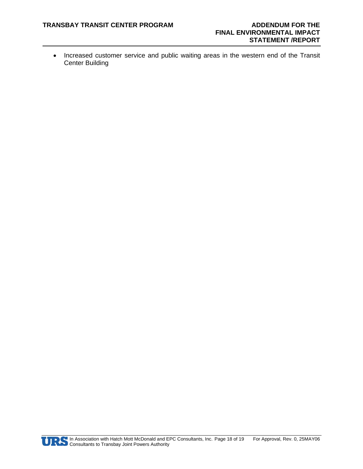• Increased customer service and public waiting areas in the western end of the Transit Center Building

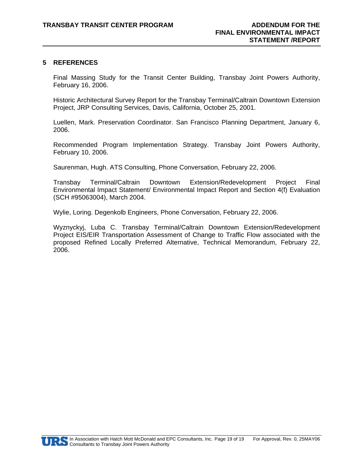#### **5 REFERENCES**

Final Massing Study for the Transit Center Building, Transbay Joint Powers Authority, February 16, 2006.

Historic Architectural Survey Report for the Transbay Terminal/Caltrain Downtown Extension Project, JRP Consulting Services, Davis, California, October 25, 2001.

Luellen, Mark. Preservation Coordinator. San Francisco Planning Department, January 6, 2006.

Recommended Program Implementation Strategy. Transbay Joint Powers Authority, February 10, 2006.

Saurenman, Hugh. ATS Consulting, Phone Conversation, February 22, 2006.

Transbay Terminal/Caltrain Downtown Extension/Redevelopment Project Final Environmental Impact Statement/ Environmental Impact Report and Section 4(f) Evaluation (SCH #95063004), March 2004.

Wylie, Loring. Degenkolb Engineers, Phone Conversation, February 22, 2006.

Wyznyckyj, Luba C. Transbay Terminal/Caltrain Downtown Extension/Redevelopment Project EIS/EIR Transportation Assessment of Change to Traffic Flow associated with the proposed Refined Locally Preferred Alternative, Technical Memorandum, February 22, 2006.

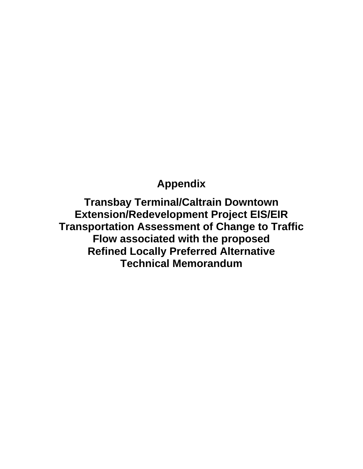# **Appendix**

**Transbay Terminal/Caltrain Downtown Extension/Redevelopment Project EIS/EIR Transportation Assessment of Change to Traffic Flow associated with the proposed Refined Locally Preferred Alternative Technical Memorandum**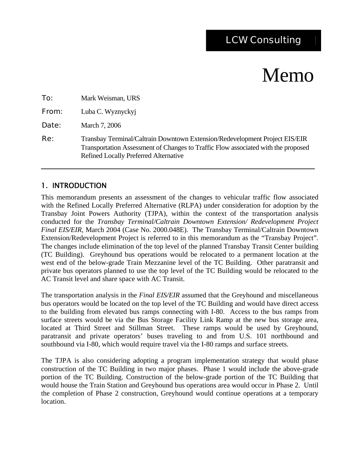# Memo

| To:   | Mark Weisman, URS                                                                                                                                                                                                |  |
|-------|------------------------------------------------------------------------------------------------------------------------------------------------------------------------------------------------------------------|--|
| From: | Luba C. Wyznyckyj                                                                                                                                                                                                |  |
| Date: | March 7, 2006                                                                                                                                                                                                    |  |
| Re:   | Transbay Terminal/Caltrain Downtown Extension/Redevelopment Project EIS/EIR<br>Transportation Assessment of Changes to Traffic Flow associated with the proposed<br><b>Refined Locally Preferred Alternative</b> |  |

### 1. INTRODUCTION

This memorandum presents an assessment of the changes to vehicular traffic flow associated with the Refined Locally Preferred Alternative (RLPA) under consideration for adoption by the Transbay Joint Powers Authority (TJPA), within the context of the transportation analysis conducted for the *Transbay Terminal/Caltrain Downtown Extension/ Redevelopment Project Final EIS/EIR,* March 2004 (Case No. 2000.048E). The Transbay Terminal/Caltrain Downtown Extension/Redevelopment Project is referred to in this memorandum as the "Transbay Project". The changes include elimination of the top level of the planned Transbay Transit Center building (TC Building). Greyhound bus operations would be relocated to a permanent location at the west end of the below-grade Train Mezzanine level of the TC Building. Other paratransit and private bus operators planned to use the top level of the TC Building would be relocated to the AC Transit level and share space with AC Transit.

The transportation analysis in the *Final EIS/EIR* assumed that the Greyhound and miscellaneous bus operators would be located on the top level of the TC Building and would have direct access to the building from elevated bus ramps connecting with I-80. Access to the bus ramps from surface streets would be via the Bus Storage Facility Link Ramp at the new bus storage area, located at Third Street and Stillman Street. These ramps would be used by Greyhound, paratransit and private operators' buses traveling to and from U.S. 101 northbound and southbound via I-80, which would require travel via the I-80 ramps and surface streets.

The TJPA is also considering adopting a program implementation strategy that would phase construction of the TC Building in two major phases. Phase 1 would include the above-grade portion of the TC Building. Construction of the below-grade portion of the TC Building that would house the Train Station and Greyhound bus operations area would occur in Phase 2. Until the completion of Phase 2 construction, Greyhound would continue operations at a temporary location.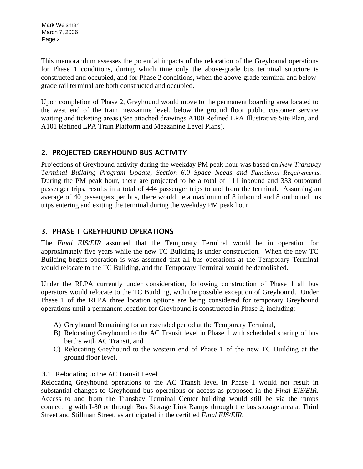This memorandum assesses the potential impacts of the relocation of the Greyhound operations for Phase 1 conditions, during which time only the above-grade bus terminal structure is constructed and occupied, and for Phase 2 conditions, when the above-grade terminal and belowgrade rail terminal are both constructed and occupied.

Upon completion of Phase 2, Greyhound would move to the permanent boarding area located to the west end of the train mezzanine level, below the ground floor public customer service waiting and ticketing areas (See attached drawings A100 Refined LPA Illustrative Site Plan, and A101 Refined LPA Train Platform and Mezzanine Level Plans).

## 2. PROJECTED GREYHOUND BUS ACTIVITY

Projections of Greyhound activity during the weekday PM peak hour was based on *New Transbay Terminal Building Program Update, Section 6.0 Space Needs and Functional Requirements*. During the PM peak hour, there are projected to be a total of 111 inbound and 333 outbound passenger trips, results in a total of 444 passenger trips to and from the terminal. Assuming an average of 40 passengers per bus, there would be a maximum of 8 inbound and 8 outbound bus trips entering and exiting the terminal during the weekday PM peak hour.

### 3. PHASE 1 GREYHOUND OPERATIONS

The *Final EIS/EIR* assumed that the Temporary Terminal would be in operation for approximately five years while the new TC Building is under construction. When the new TC Building begins operation is was assumed that all bus operations at the Temporary Terminal would relocate to the TC Building, and the Temporary Terminal would be demolished.

Under the RLPA currently under consideration, following construction of Phase 1 all bus operators would relocate to the TC Building, with the possible exception of Greyhound. Under Phase 1 of the RLPA three location options are being considered for temporary Greyhound operations until a permanent location for Greyhound is constructed in Phase 2, including:

- A) Greyhound Remaining for an extended period at the Temporary Terminal,
- B) Relocating Greyhound to the AC Transit level in Phase 1 with scheduled sharing of bus berths with AC Transit, and
- C) Relocating Greyhound to the western end of Phase 1 of the new TC Building at the ground floor level.

#### 3.1 Relocating to the AC Transit Level

Relocating Greyhound operations to the AC Transit level in Phase 1 would not result in substantial changes to Greyhound bus operations or access as proposed in the *Final EIS/EIR*. Access to and from the Transbay Terminal Center building would still be via the ramps connecting with I-80 or through Bus Storage Link Ramps through the bus storage area at Third Street and Stillman Street, as anticipated in the certified *Final EIS/EIR*.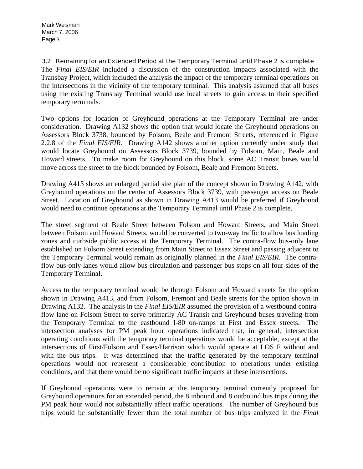3.2 Remaining for an Extended Period at the Temporary Terminal until Phase 2 is complete The *Final EIS/EIR* included a discussion of the construction impacts associated with the Transbay Project, which included the analysis the impact of the temporary terminal operations on the intersections in the vicinity of the temporary terminal. This analysis assumed that all buses using the existing Transbay Terminal would use local streets to gain access to their specified temporary terminals.

Two options for location of Greyhound operations at the Temporary Terminal are under consideration. Drawing A132 shows the option that would locate the Greyhound operations on Assessors Block 3738, bounded by Folsom, Beale and Fremont Streets, referenced in Figure 2.2.8 of the *Final EIS/EIR*. Drawing A142 shows another option currently under study that would locate Greyhound on Assessors Block 3739, bounded by Folsom, Main, Beale and Howard streets. To make room for Greyhound on this block, some AC Transit buses would move across the street to the block bounded by Folsom, Beale and Fremont Streets.

Drawing A413 shows an enlarged partial site plan of the concept shown in Drawing A142, with Greyhound operations on the center of Assessors Block 3739, with passenger access on Beale Street. Location of Greyhound as shown in Drawing A413 would be preferred if Greyhound would need to continue operations at the Temporary Terminal until Phase 2 is complete.

The street segment of Beale Street between Folsom and Howard Streets, and Main Street between Folsom and Howard Streets, would be converted to two-way traffic to allow bus loading zones and curbside public access at the Temporary Terminal. The contra-flow bus-only lane established on Folsom Street extending from Main Street to Essex Street and passing adjacent to the Temporary Terminal would remain as originally planned in the *Final EIS/EIR*. The contraflow bus-only lanes would allow bus circulation and passenger bus stops on all four sides of the Temporary Terminal.

Access to the temporary terminal would be through Folsom and Howard streets for the option shown in Drawing A413, and from Folsom, Fremont and Beale streets for the option shown in Drawing A132. The analysis in the *Final EIS/EIR* assumed the provision of a westbound contraflow lane on Folsom Street to serve primarily AC Transit and Greyhound buses traveling from the Temporary Terminal to the eastbound I-80 on-ramps at First and Essex streets. The intersection analyses for PM peak hour operations indicated that, in general, intersection operating conditions with the temporary terminal operations would be acceptable, except at the intersections of First/Folsom and Essex/Harrison which would operate at LOS F without and with the bus trips. It was determined that the traffic generated by the temporary terminal operations would not represent a considerable contribution to operations under existing conditions, and that there would be no significant traffic impacts at these intersections.

If Greyhound operations were to remain at the temporary terminal currently proposed for Greyhound operations for an extended period, the 8 inbound and 8 outbound bus trips during the PM peak hour would not substantially affect traffic operations. The number of Greyhound bus trips would be substantially fewer than the total number of bus trips analyzed in the *Final*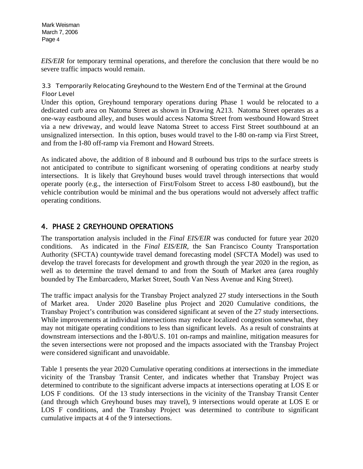*EIS/EIR* for temporary terminal operations, and therefore the conclusion that there would be no severe traffic impacts would remain.

#### 3.3 Temporarily Relocating Greyhound to the Western End of the Terminal at the Ground Floor Level

Under this option, Greyhound temporary operations during Phase 1 would be relocated to a dedicated curb area on Natoma Street as shown in Drawing A213. Natoma Street operates as a one-way eastbound alley, and buses would access Natoma Street from westbound Howard Street via a new driveway, and would leave Natoma Street to access First Street southbound at an unsignalized intersection. In this option, buses would travel to the I-80 on-ramp via First Street, and from the I-80 off-ramp via Fremont and Howard Streets.

As indicated above, the addition of 8 inbound and 8 outbound bus trips to the surface streets is not anticipated to contribute to significant worsening of operating conditions at nearby study intersections. It is likely that Greyhound buses would travel through intersections that would operate poorly (e.g., the intersection of First/Folsom Street to access I-80 eastbound), but the vehicle contribution would be minimal and the bus operations would not adversely affect traffic operating conditions.

## 4. PHASE 2 GREYHOUND OPERATIONS

The transportation analysis included in the *Final EIS/EIR* was conducted for future year 2020 conditions. As indicated in the *Final EIS/EIR,* the San Francisco County Transportation Authority (SFCTA) countywide travel demand forecasting model (SFCTA Model) was used to develop the travel forecasts for development and growth through the year 2020 in the region, as well as to determine the travel demand to and from the South of Market area (area roughly bounded by The Embarcadero, Market Street, South Van Ness Avenue and King Street).

The traffic impact analysis for the Transbay Project analyzed 27 study intersections in the South of Market area. Under 2020 Baseline plus Project and 2020 Cumulative conditions, the Transbay Project's contribution was considered significant at seven of the 27 study intersections. While improvements at individual intersections may reduce localized congestion somewhat, they may not mitigate operating conditions to less than significant levels. As a result of constraints at downstream intersections and the I-80/U.S. 101 on-ramps and mainline, mitigation measures for the seven intersections were not proposed and the impacts associated with the Transbay Project were considered significant and unavoidable.

Table 1 presents the year 2020 Cumulative operating conditions at intersections in the immediate vicinity of the Transbay Transit Center, and indicates whether that Transbay Project was determined to contribute to the significant adverse impacts at intersections operating at LOS E or LOS F conditions. Of the 13 study intersections in the vicinity of the Transbay Transit Center (and through which Greyhound buses may travel), 9 intersections would operate at LOS E or LOS F conditions, and the Transbay Project was determined to contribute to significant cumulative impacts at 4 of the 9 intersections.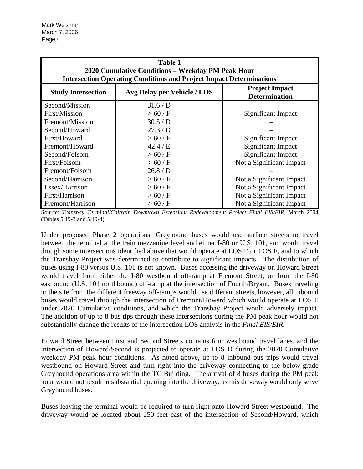| <b>Table 1</b><br>2020 Cumulative Conditions - Weekday PM Peak Hour<br><b>Intersection Operating Conditions and Project Impact Determinations</b> |                             |                                               |  |  |  |  |
|---------------------------------------------------------------------------------------------------------------------------------------------------|-----------------------------|-----------------------------------------------|--|--|--|--|
| <b>Study Intersection</b>                                                                                                                         | Avg Delay per Vehicle / LOS | <b>Project Impact</b><br><b>Determination</b> |  |  |  |  |
| Second/Mission                                                                                                                                    | 31.6/D                      |                                               |  |  |  |  |
| First/Mission                                                                                                                                     | >60/F                       | Significant Impact                            |  |  |  |  |
| Fremont/Mission                                                                                                                                   | 30.5/D                      |                                               |  |  |  |  |
| Second/Howard                                                                                                                                     | 27.3/D                      |                                               |  |  |  |  |
| First/Howard                                                                                                                                      | >60/F                       | Significant Impact                            |  |  |  |  |
| Fremont/Howard                                                                                                                                    | 42.4 / E                    | Significant Impact                            |  |  |  |  |
| Second/Folsom                                                                                                                                     | >60/F                       | Significant Impact                            |  |  |  |  |
| First/Folsom                                                                                                                                      | >60/F                       | Not a Significant Impact                      |  |  |  |  |
| Fremont/Folsom                                                                                                                                    | 26.8/D                      |                                               |  |  |  |  |
| Second/Harrison                                                                                                                                   | >60/F                       | Not a Significant Impact                      |  |  |  |  |
| Essex/Harrison                                                                                                                                    | >60/F                       | Not a Significant Impact                      |  |  |  |  |
| First/Harrison                                                                                                                                    | >60/F                       | Not a Significant Impact                      |  |  |  |  |
| Fremont/Harrison                                                                                                                                  | >60/F                       | Not a Significant Impact                      |  |  |  |  |

Source: *Transbay Terminal/Caltrain Downtown Extension/ Redevelopment Project Final EIS/EIR,* March 2004 (Tables 5.19-3 and 5.19-4).

Under proposed Phase 2 operations, Greyhound buses would use surface streets to travel between the terminal at the train mezzanine level and either I-80 or U.S. 101, and would travel though some intersections identified above that would operate at LOS E or LOS F, and to which the Transbay Project was determined to contribute to significant impacts. The distribution of buses using I-80 versus U.S. 101 is not known. Buses accessing the driveway on Howard Street would travel from either the I-80 westbound off-ramp at Fremont Street, or from the I-80 eastbound (U.S. 101 northbound) off-ramp at the intersection of Fourth/Bryant. Buses traveling to the site from the different freeway off-ramps would use different streets, however, all inbound buses would travel through the intersection of Fremont/Howard which would operate at LOS E under 2020 Cumulative conditions, and which the Transbay Project would adversely impact. The addition of up to 8 bus tips through these intersections during the PM peak hour would not substantially change the results of the intersection LOS analysis in the *Final EIS/EIR*.

Howard Street between First and Second Streets contains four westbound travel lanes, and the intersection of Howard/Second is projected to operate at LOS D during the 2020 Cumulative weekday PM peak hour conditions. As noted above, up to 8 inbound bus trips would travel westbound on Howard Street and turn right into the driveway connecting to the below-grade Greyhound operations area within the TC Building. The arrival of 8 buses during the PM peak hour would not result in substantial queuing into the driveway, as this driveway would only serve Greyhound buses.

Buses leaving the terminal would be required to turn right onto Howard Street westbound. The driveway would be located about 250 feet east of the intersection of Second/Howard, which